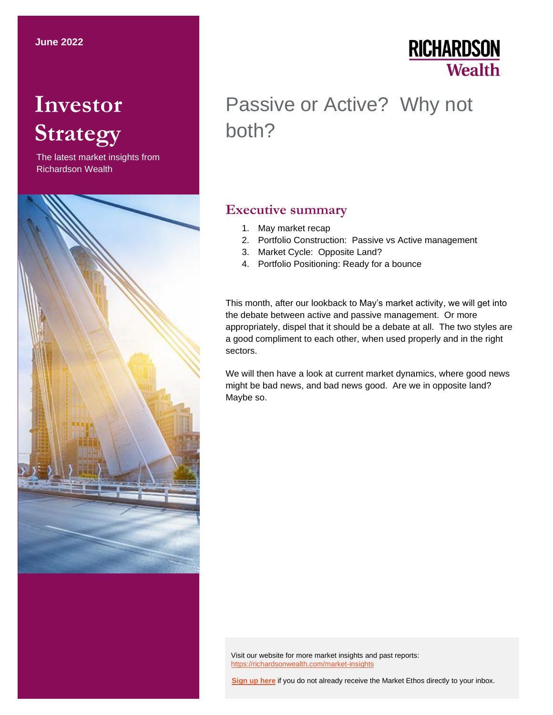# **Investor Strategy**

The latest market insights from Richardson Wealth



## **RICHARDSON Wealth**

## Passive or Active? Why not both?

### **Executive summary**

- 1. May market recap
- 2. Portfolio Construction: Passive vs Active management
- 3. Market Cycle: Opposite Land?
- 4. Portfolio Positioning: Ready for a bounce

This month, after our lookback to May's market activity, we will get into the debate between active and passive management. Or more appropriately, dispel that it should be a debate at all. The two styles are a good compliment to each other, when used properly and in the right sectors.

We will then have a look at current market dynamics, where good news might be bad news, and bad news good. Are we in opposite land? Maybe so.

Visit our website for more market insights and past reports: <https://richardsonwealth.com/market-insights>

**[Sign up here](https://surveys.campaignbreeze.com/s/9772617f4a874bcad89db07d66bb905669984b44)** if you do not already receive the Market Ethos directly to your inbox.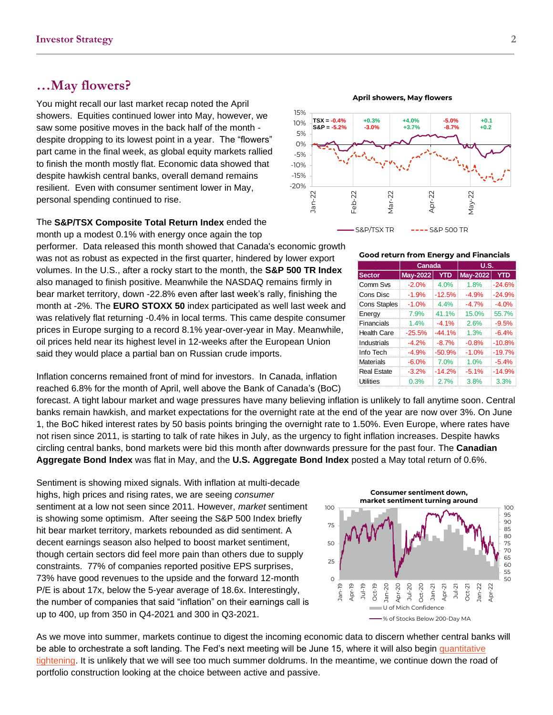### **…May flowers?**

You might recall our last market recap noted the April showers. Equities continued lower into May, however, we saw some positive moves in the back half of the month despite dropping to its lowest point in a year. The "flowers" part came in the final week, as global equity markets rallied to finish the month mostly flat. Economic data showed that despite hawkish central banks, overall demand remains resilient. Even with consumer sentiment lower in May, personal spending continued to rise.

The **S&P/TSX Composite Total Return Index** ended the month up a modest 0.1% with energy once again the top

performer. Data released this month showed that Canada's economic growth was not as robust as expected in the first quarter, hindered by lower export volumes. In the U.S., after a rocky start to the month, the **S&P 500 TR Index**  also managed to finish positive. Meanwhile the NASDAQ remains firmly in bear market territory, down -22.8% even after last week's rally, finishing the month at -2%. The **EURO STOXX 50** index participated as well last week and was relatively flat returning -0.4% in local terms. This came despite consumer prices in Europe surging to a record 8.1% year-over-year in May. Meanwhile, oil prices held near its highest level in 12-weeks after the European Union said they would place a partial ban on Russian crude imports.

Inflation concerns remained front of mind for investors. In Canada, inflation reached 6.8% for the month of April, well above the Bank of Canada's (BoC)

forecast. A tight labour market and wage pressures have many believing inflation is unlikely to fall anytime soon. Central banks remain hawkish, and market expectations for the overnight rate at the end of the year are now over 3%. On June 1, the BoC hiked interest rates by 50 basis points bringing the overnight rate to 1.50%. Even Europe, where rates have not risen since 2011, is starting to talk of rate hikes in July, as the urgency to fight inflation increases. Despite hawks circling central banks, bond markets were bid this month after downwards pressure for the past four. The **Canadian Aggregate Bond Index** was flat in May, and the **U.S. Aggregate Bond Index** posted a May total return of 0.6%.

Sentiment is showing mixed signals. With inflation at multi-decade highs, high prices and rising rates, we are seeing *consumer* sentiment at a low not seen since 2011. However, *market* sentiment is showing some optimism. After seeing the S&P 500 Index briefly hit bear market territory, markets rebounded as did sentiment. A decent earnings season also helped to boost market sentiment, though certain sectors did feel more pain than others due to supply constraints. 77% of companies reported positive EPS surprises, 73% have good revenues to the upside and the forward 12-month P/E is about 17x, below the 5-year average of 18.6x. Interestingly, the number of companies that said "inflation" on their earnings call is up to 400, up from 350 in Q4-2021 and 300 in Q3-2021.

As we move into summer, markets continue to digest the incoming economic data to discern whether central banks will be able to orchestrate a soft landing. The Fed's next meeting will be June 15, where it will also begin quantitative [tightening.](https://campaigns.richardsonwealth.com/collect/click.aspx?u=R0taQ0hvUllMN1BZZWpDZk12NGtlVVBmS09nN011RkoyNjFuKzVNamxVWWo0YWlFVzg2d1Jscy94bU9uRWwxY2N5QzZtZXMwYW5weDJHdXJTUFZLQ0VFV056SlNoRjV4dXpkUDNzMCtDZG4wNTBjREZ0UHZHWnJqd01mVmI0Nkp6WXRocU1LNDlMU0xOMVhMT2ZiWjYzSndCZTNPckpqOGdZNlJiSjRCTUptWmpjL3lvSjlYM0FWMldSUEJMa29P&rh=ff018f7e62e9beef7cdccaf34e4dacb947c3a884) It is unlikely that we will see too much summer doldrums. In the meantime, we continue down the road of portfolio construction looking at the choice between active and passive.

**Good return from Energy and Financials**

|                     | Canada          |            | <b>U.S.</b>         |            |
|---------------------|-----------------|------------|---------------------|------------|
| <b>Sector</b>       | <b>May-2022</b> | <b>YTD</b> | <b>May-2022</b>     | <b>YTD</b> |
| Comm Sys            | $-2.0%$         | 4.0%       | 1.8%                | $-24.6%$   |
| Cons Disc           | $-1.9%$         | $-12.5%$   | $-4.9%$             | $-24.9%$   |
| <b>Cons Staples</b> | $-1.0%$         | 4.4%       | $-4.7%$             | $-4.0%$    |
| Energy              | 7.9%            | 41.1%      | 15.0%               | 55.7%      |
| Financials          | 1.4%            | $-4.1%$    | 2.6%                | $-9.5%$    |
| <b>Health Care</b>  | $-25.5%$        | $-44.1%$   | 1.3%                | $-6.4%$    |
| Industrials         | $-4.2%$         | $-8.7%$    | $-0.8%$             | $-10.8%$   |
| Info Tech           | $-4.9%$         | $-50.9%$   | $-1.0%$             | $-19.7%$   |
| <b>Materials</b>    | $-6.0%$         | 7.0%       | 1.0%                | $-5.4%$    |
| <b>Real Estate</b>  | $-3.2%$         | $-14.2%$   | $-14.9%$<br>$-5.1%$ |            |
| Utilities           | 0.3%            | 2.7%       | 3.8%                | 3.3%       |



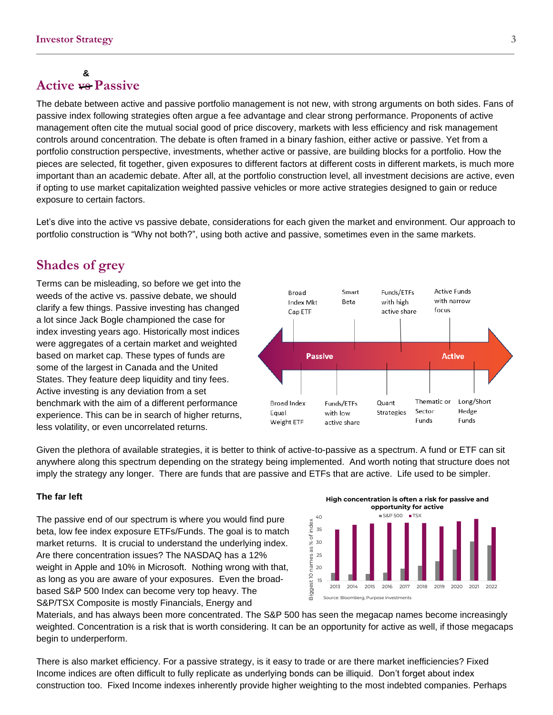### **Active vs Passive &**

The debate between active and passive portfolio management is not new, with strong arguments on both sides. Fans of passive index following strategies often argue a fee advantage and clear strong performance. Proponents of active management often cite the mutual social good of price discovery, markets with less efficiency and risk management controls around concentration. The debate is often framed in a binary fashion, either active or passive. Yet from a portfolio construction perspective, investments, whether active or passive, are building blocks for a portfolio. How the pieces are selected, fit together, given exposures to different factors at different costs in different markets, is much more important than an academic debate. After all, at the portfolio construction level, all investment decisions are active, even if opting to use market capitalization weighted passive vehicles or more active strategies designed to gain or reduce exposure to certain factors.

Let's dive into the active vs passive debate, considerations for each given the market and environment. Our approach to portfolio construction is "Why not both?", using both active and passive, sometimes even in the same markets.

### **Shades of grey**

Terms can be misleading, so before we get into the weeds of the active vs. passive debate, we should clarify a few things. Passive investing has changed a lot since Jack Bogle championed the case for index investing years ago. Historically most indices were aggregates of a certain market and weighted based on market cap. These types of funds are some of the largest in Canada and the United States. They feature deep liquidity and tiny fees. Active investing is any deviation from a set benchmark with the aim of a different performance experience. This can be in search of higher returns, less volatility, or even uncorrelated returns.

**Active Funds** Funds/ETFs Broad Smart with narrow Index Mkt Beta with high active share focus Cap ETF **Active Passive** Thematic or Long/Short **Broad Index** Funds/ETFs Quant Strategies Sector Hedge Equal with low **Funds Funds** Weight ETF active share

Given the plethora of available strategies, it is better to think of active-to-passive as a spectrum. A fund or ETF can sit anywhere along this spectrum depending on the strategy being implemented. And worth noting that structure does not imply the strategy any longer. There are funds that are passive and ETFs that are active. Life used to be simpler.

### **The far left**

The passive end of our spectrum is where you would find pure beta, low fee index exposure ETFs/Funds. The goal is to match market returns. It is crucial to understand the underlying index. Are there concentration issues? The NASDAQ has a 12% weight in Apple and 10% in Microsoft. Nothing wrong with that, as long as you are aware of your exposures. Even the broadbased S&P 500 Index can become very top heavy. The S&P/TSX Composite is mostly Financials, Energy and



Materials, and has always been more concentrated. The S&P 500 has seen the megacap names become increasingly weighted. Concentration is a risk that is worth considering. It can be an opportunity for active as well, if those megacaps begin to underperform.

There is also market efficiency. For a passive strategy, is it easy to trade or are there market inefficiencies? Fixed Income indices are often difficult to fully replicate as underlying bonds can be illiquid. Don't forget about index construction too. Fixed Income indexes inherently provide higher weighting to the most indebted companies. Perhaps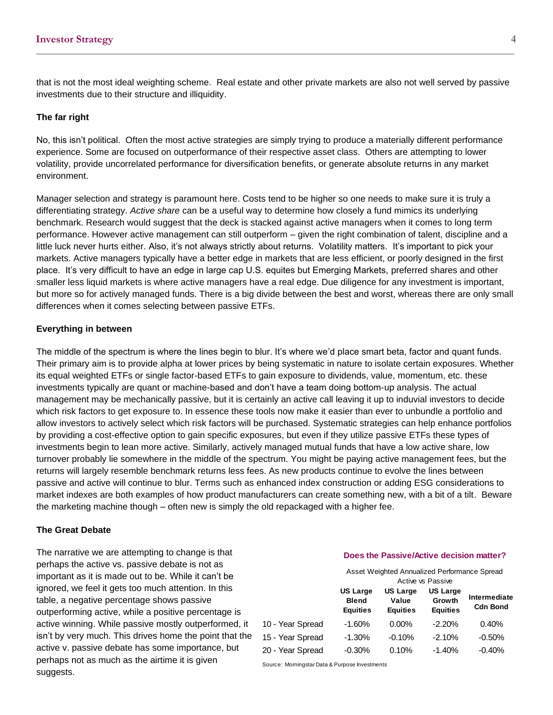that is not the most ideal weighting scheme. Real estate and other private markets are also not well served by passive investments due to their structure and illiquidity.

### **The far right**

No, this isn't political. Often the most active strategies are simply trying to produce a materially different performance experience. Some are focused on outperformance of their respective asset class. Others are attempting to lower volatility, provide uncorrelated performance for diversification benefits, or generate absolute returns in any market environment.

Manager selection and strategy is paramount here. Costs tend to be higher so one needs to make sure it is truly a differentiating strategy. *Active share* can be a useful way to determine how closely a fund mimics its underlying benchmark. Research would suggest that the deck is stacked against active managers when it comes to long term performance. However active management can still outperform – given the right combination of talent, discipline and a little luck never hurts either. Also, it's not always strictly about returns. Volatility matters. It's important to pick your markets. Active managers typically have a better edge in markets that are less efficient, or poorly designed in the first place. It's very difficult to have an edge in large cap U.S. equites but Emerging Markets, preferred shares and other smaller less liquid markets is where active managers have a real edge. Due diligence for any investment is important, but more so for actively managed funds. There is a big divide between the best and worst, whereas there are only small differences when it comes selecting between passive ETFs.

### **Everything in between**

The middle of the spectrum is where the lines begin to blur. It's where we'd place smart beta, factor and quant funds. Their primary aim is to provide alpha at lower prices by being systematic in nature to isolate certain exposures. Whether its equal weighted ETFs or single factor-based ETFs to gain exposure to dividends, value, momentum, etc. these investments typically are quant or machine-based and don't have a team doing bottom-up analysis. The actual management may be mechanically passive, but it is certainly an active call leaving it up to induvial investors to decide which risk factors to get exposure to. In essence these tools now make it easier than ever to unbundle a portfolio and allow investors to actively select which risk factors will be purchased. Systematic strategies can help enhance portfolios by providing a cost-effective option to gain specific exposures, but even if they utilize passive ETFs these types of investments begin to lean more active. Similarly, actively managed mutual funds that have a low active share, low turnover probably lie somewhere in the middle of the spectrum. You might be paying active management fees, but the returns will largely resemble benchmark returns less fees. As new products continue to evolve the lines between passive and active will continue to blur. Terms such as enhanced index construction or adding ESG considerations to market indexes are both examples of how product manufacturers can create something new, with a bit of a tilt. Beware the marketing machine though – often new is simply the old repackaged with a higher fee.

### **The Great Debate**

The narrative we are attempting to change is that perhaps the active vs. passive debate is not as important as it is made out to be. While it can't be ignored, we feel it gets too much attention. In this table, a negative percentage shows passive outperforming active, while a positive percentage is active winning. While passive mostly outperformed, it isn't by very much. This drives home the point that the active v. passive debate has some importance, but perhaps not as much as the airtime it is given US Large<br>
table, a negative percentage shows passive<br>
outperforming active, while a positive percentage is<br>
active winning. While passive mostly outperformed, it<br>
isn't by very much. This drives home the point that the<br>
ac

### **Does the Passive/Active decision matter?**

Asset Weighted Annualized Performance Spread Active vs Passive

|                  | <b>US Large</b><br><b>Blend</b><br><b>Equities</b> | <b>US Large</b><br>Value<br><b>Equities</b> | <b>US Large</b><br>Growth<br><b>Equities</b> | Intermediate<br><b>Cdn Bond</b> |
|------------------|----------------------------------------------------|---------------------------------------------|----------------------------------------------|---------------------------------|
| 10 - Year Spread | $-1.60\%$                                          | $0.00\%$                                    | $-2.20%$                                     | 0.40%                           |
| 15 - Year Spread | $-1.30\%$                                          | $-0.10%$                                    | $-2.10%$                                     | $-0.50\%$                       |
| 20 - Year Spread | $-0.30\%$                                          | 0.10%                                       | $-1.40%$                                     | $-0.40%$                        |

Source: Momingstar Data & Purpose Investments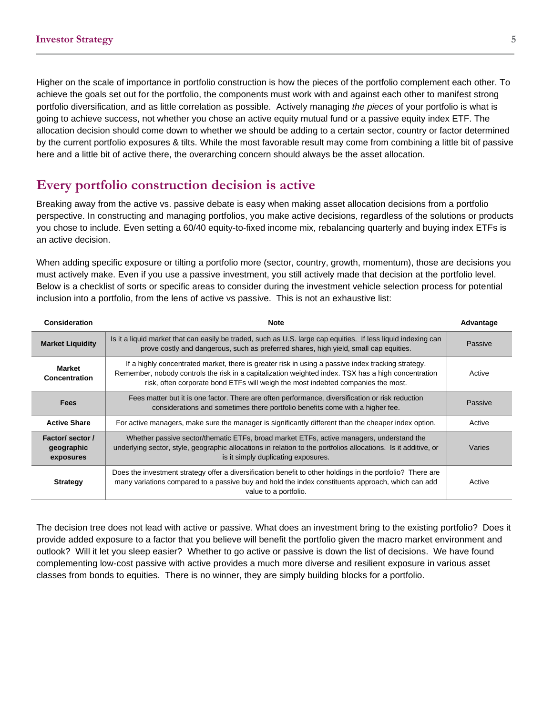Higher on the scale of importance in portfolio construction is how the pieces of the portfolio complement each other. To achieve the goals set out for the portfolio, the components must work with and against each other to manifest strong portfolio diversification, and as little correlation as possible. Actively managing *the pieces* of your portfolio is what is going to achieve success, not whether you chose an active equity mutual fund or a passive equity index ETF. The allocation decision should come down to whether we should be adding to a certain sector, country or factor determined by the current portfolio exposures & tilts. While the most favorable result may come from combining a little bit of passive here and a little bit of active there, the overarching concern should always be the asset allocation.

### **Every portfolio construction decision is active**

Breaking away from the active vs. passive debate is easy when making asset allocation decisions from a portfolio perspective. In constructing and managing portfolios, you make active decisions, regardless of the solutions or products you chose to include. Even setting a 60/40 equity-to-fixed income mix, rebalancing quarterly and buying index ETFs is an active decision.

When adding specific exposure or tilting a portfolio more (sector, country, growth, momentum), those are decisions you must actively make. Even if you use a passive investment, you still actively made that decision at the portfolio level. Below is a checklist of sorts or specific areas to consider during the investment vehicle selection process for potential inclusion into a portfolio, from the lens of active vs passive. This is not an exhaustive list:

| Consideration                               | <b>Note</b>                                                                                                                                                                                                                                                                                   | Advantage |
|---------------------------------------------|-----------------------------------------------------------------------------------------------------------------------------------------------------------------------------------------------------------------------------------------------------------------------------------------------|-----------|
| <b>Market Liquidity</b>                     | Is it a liquid market that can easily be traded, such as U.S. large cap equities. If less liquid indexing can<br>prove costly and dangerous, such as preferred shares, high yield, small cap equities.                                                                                        | Passive   |
| Market<br>Concentration                     | If a highly concentrated market, there is greater risk in using a passive index tracking strategy.<br>Remember, nobody controls the risk in a capitalization weighted index. TSX has a high concentration<br>risk, often corporate bond ETFs will weigh the most indebted companies the most. | Active    |
| <b>Fees</b>                                 | Fees matter but it is one factor. There are often performance, diversification or risk reduction<br>considerations and sometimes there portfolio benefits come with a higher fee.                                                                                                             | Passive   |
| <b>Active Share</b>                         | For active managers, make sure the manager is significantly different than the cheaper index option.                                                                                                                                                                                          | Active    |
| Factor/ sector /<br>geographic<br>exposures | Whether passive sector/thematic ETFs, broad market ETFs, active managers, understand the<br>underlying sector, style, geographic allocations in relation to the portfolios allocations. Is it additive, or<br>is it simply duplicating exposures.                                             | Varies    |
| <b>Strategy</b>                             | Does the investment strategy offer a diversification benefit to other holdings in the portfolio? There are<br>many variations compared to a passive buy and hold the index constituents approach, which can add<br>value to a portfolio.                                                      | Active    |

The decision tree does not lead with active or passive. What does an investment bring to the existing portfolio? Does it provide added exposure to a factor that you believe will benefit the portfolio given the macro market environment and outlook? Will it let you sleep easier? Whether to go active or passive is down the list of decisions. We have found complementing low-cost passive with active provides a much more diverse and resilient exposure in various asset classes from bonds to equities. There is no winner, they are simply building blocks for a portfolio.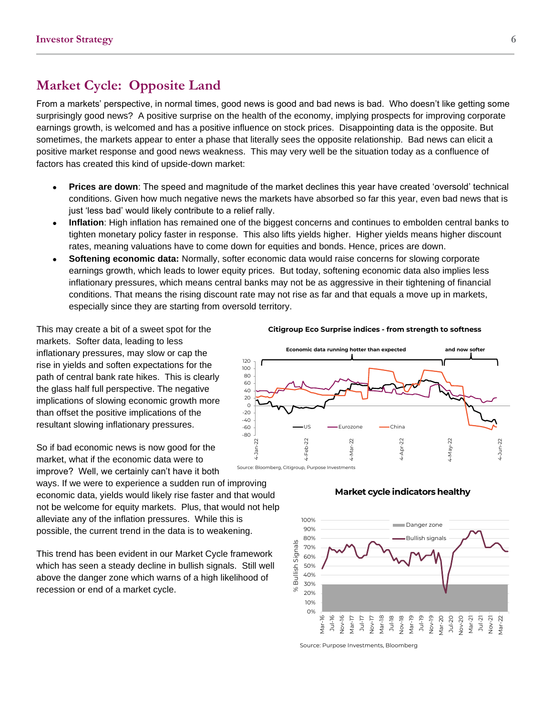### **Market Cycle: Opposite Land**

From a markets' perspective, in normal times, good news is good and bad news is bad. Who doesn't like getting some surprisingly good news? A positive surprise on the health of the economy, implying prospects for improving corporate earnings growth, is welcomed and has a positive influence on stock prices. Disappointing data is the opposite. But sometimes, the markets appear to enter a phase that literally sees the opposite relationship. Bad news can elicit a positive market response and good news weakness. This may very well be the situation today as a confluence of factors has created this kind of upside-down market:

- **Prices are down**: The speed and magnitude of the market declines this year have created 'oversold' technical conditions. Given how much negative news the markets have absorbed so far this year, even bad news that is just 'less bad' would likely contribute to a relief rally.
- **Inflation**: High inflation has remained one of the biggest concerns and continues to embolden central banks to tighten monetary policy faster in response. This also lifts yields higher. Higher yields means higher discount rates, meaning valuations have to come down for equities and bonds. Hence, prices are down.
- **Softening economic data:** Normally, softer economic data would raise concerns for slowing corporate earnings growth, which leads to lower equity prices. But today, softening economic data also implies less inflationary pressures, which means central banks may not be as aggressive in their tightening of financial conditions. That means the rising discount rate may not rise as far and that equals a move up in markets, especially since they are starting from oversold territory.

This may create a bit of a sweet spot for the markets. Softer data, leading to less inflationary pressures, may slow or cap the rise in yields and soften expectations for the path of central bank rate hikes. This is clearly the glass half full perspective. The negative implications of slowing economic growth more than offset the positive implications of the resultant slowing inflationary pressures.

So if bad economic news is now good for the market, what if the economic data were to improve? Well, we certainly can't have it both

ways. If we were to experience a sudden run of improving economic data, yields would likely rise faster and that would not be welcome for equity markets. Plus, that would not help alleviate any of the inflation pressures. While this is possible, the current trend in the data is to weakening.

This trend has been evident in our Market Cycle framework which has seen a steady decline in bullish signals. Still well above the danger zone which warns of a high likelihood of recession or end of a market cycle.

#### **Citigroup Eco Surprise indices - from strength to softness**





### **Market cycle indicators healthy**

Source: Purpose Investments, Bloomberg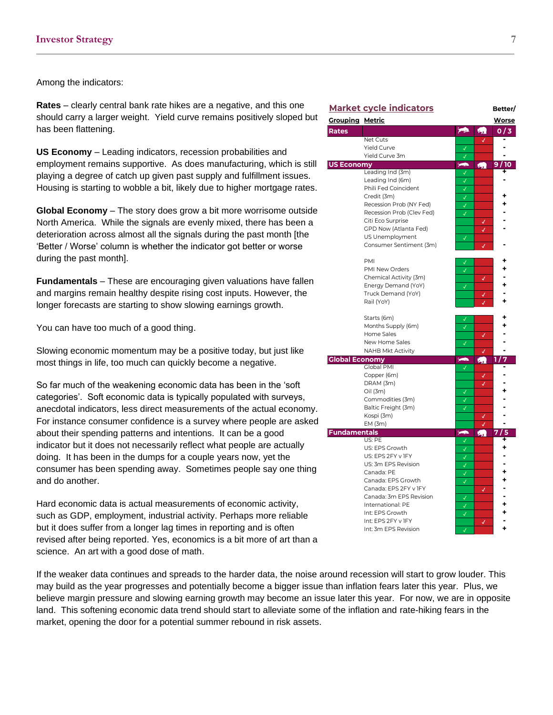Among the indicators:

**Rates** – clearly central bank rate hikes are a negative, and this one should carry a larger weight. Yield curve remains positively sloped but has been flattening.

**US Economy** – Leading indicators, recession probabilities and employment remains supportive. As does manufacturing, which is still playing a degree of catch up given past supply and fulfillment issues. Housing is starting to wobble a bit, likely due to higher mortgage rates.

**Global Economy** – The story does grow a bit more worrisome outside North America. While the signals are evenly mixed, there has been a deterioration across almost all the signals during the past month [the 'Better / Worse' column is whether the indicator got better or worse during the past month].

**Fundamentals** – These are encouraging given valuations have fallen and margins remain healthy despite rising cost inputs. However, the longer forecasts are starting to show slowing earnings growth.

You can have too much of a good thing.

Slowing economic momentum may be a positive today, but just like most things in life, too much can quickly become a negative.

So far much of the weakening economic data has been in the 'soft categories'. Soft economic data is typically populated with surveys, anecdotal indicators, less direct measurements of the actual economy. For instance consumer confidence is a survey where people are asked about their spending patterns and intentions. It can be a good indicator but it does not necessarily reflect what people are actually doing. It has been in the dumps for a couple years now, yet the consumer has been spending away. Sometimes people say one thing and do another.

Hard economic data is actual measurements of economic activity, such as GDP, employment, industrial activity. Perhaps more reliable but it does suffer from a longer lag times in reporting and is often revised after being reported. Yes, economics is a bit more of art than a science. An art with a good dose of math.

If the weaker data continues and spreads to the harder data, the noise around recession will start to grow louder. This may build as the year progresses and potentially become a bigger issue than inflation fears later this year. Plus, we believe margin pressure and slowing earning growth may become an issue later this year. For now, we are in opposite land. This softening economic data trend should start to alleviate some of the inflation and rate-hiking fears in the market, opening the door for a potential summer rebound in risk assets.

|                        | <b>Market cycle indicators</b>           |                   |    | Better/      |
|------------------------|------------------------------------------|-------------------|----|--------------|
| <u>Grouping Metric</u> |                                          |                   |    | <b>Worse</b> |
| Rates                  |                                          | 一                 | 霸  | 0/3          |
|                        | Net Cuts                                 |                   | √  |              |
|                        | <b>Yield Curve</b>                       | √                 |    |              |
|                        | Yield Curve 3m                           |                   |    |              |
| <b>US Economy</b>      |                                          | $\rightarrow$     | ÆП | 10<br>9      |
|                        | Leading Ind (3m)                         | ✓                 |    |              |
|                        | Leading Ind (6m)<br>Phili Fed Coincident | ✓                 |    |              |
|                        | Credit (3m)                              | √                 |    |              |
|                        | Recession Prob (NY Fed)                  | √                 |    |              |
|                        | Recession Prob (Clev Fed)                | √                 |    |              |
|                        | Citi Eco Surprise                        |                   |    |              |
|                        | GPD Now (Atlanta Fed)                    |                   | J  |              |
|                        | US Unemployment                          | J                 |    |              |
|                        | Consumer Sentiment (3m)                  |                   |    |              |
|                        |                                          |                   |    |              |
|                        | PMI                                      | √                 |    |              |
|                        | PMI New Orders                           | √                 |    |              |
|                        | Chemical Activity (3m)                   |                   | √  |              |
|                        | Energy Demand (YoY)                      | √                 |    |              |
|                        | Truck Demand (YoY)                       |                   |    |              |
|                        | Rail (YoY)                               |                   |    |              |
|                        |                                          |                   |    |              |
|                        | Starts (6m)                              | √                 |    |              |
|                        | Months Supply (6m)<br>Home Sales         | $\checkmark$      |    |              |
|                        | New Home Sales                           | J                 | √  |              |
|                        | <b>NAHB Mkt Activity</b>                 |                   |    |              |
| <b>Global Economy</b>  |                                          | 一                 |    | 7<br>1       |
|                        | Global PMI                               | √                 |    |              |
|                        | Copper (6m)                              |                   |    |              |
|                        | DRAM (3m)                                |                   |    |              |
|                        | Oil (3m)                                 |                   |    |              |
|                        | Commodities (3m)                         | √                 |    |              |
|                        | Baltic Freight (3m)                      |                   |    |              |
|                        | Kospi (3m)                               |                   |    |              |
|                        | EM(3m)                                   |                   | √  |              |
| <b>Fundamentals</b>    |                                          | $\rightarrow$     | Еπ | 5<br>7       |
|                        | US: PE                                   | √                 |    | ٠            |
|                        | US: EPS Growth                           | √                 |    |              |
|                        | US: EPS 2FY v IFY                        | √                 |    |              |
|                        | US: 3m EPS Revision<br>Canada: PE        | $\checkmark$      |    |              |
|                        | Canada: EPS Growth                       | √                 |    |              |
|                        | Canada: EPS 2FY v IFY                    | $\checkmark$      |    |              |
|                        | Canada: 3m EPS Revision                  |                   | J  |              |
|                        | International: PE                        | √<br>$\checkmark$ |    |              |
|                        | Int: EPS Growth                          | $\checkmark$      |    |              |
|                        | Int: EPS 2FY v IFY                       |                   | √  |              |
|                        | Int: 3m FPS Revision                     | $\overline{I}$    |    |              |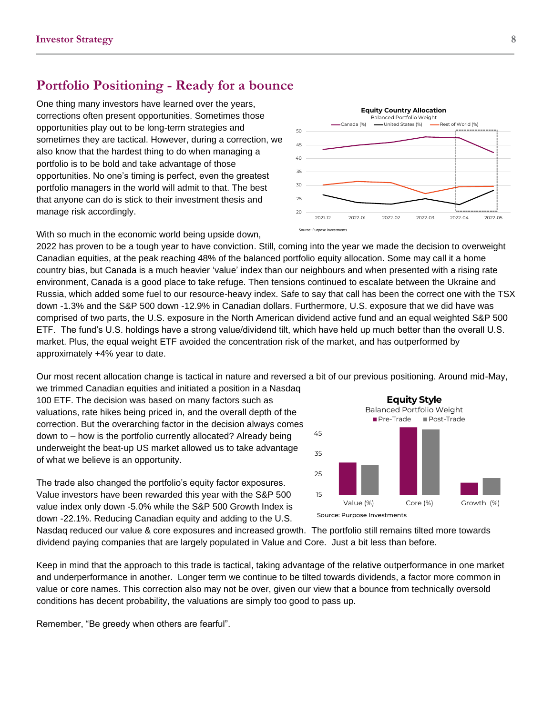### **Portfolio Positioning - Ready for a bounce**

One thing many investors have learned over the years, corrections often present opportunities. Sometimes those opportunities play out to be long-term strategies and sometimes they are tactical. However, during a correction, we also know that the hardest thing to do when managing a portfolio is to be bold and take advantage of those opportunities. No one's timing is perfect, even the greatest portfolio managers in the world will admit to that. The best that anyone can do is stick to their investment thesis and manage risk accordingly.



With so much in the economic world being upside down,

2022 has proven to be a tough year to have conviction. Still, coming into the year we made the decision to overweight Canadian equities, at the peak reaching 48% of the balanced portfolio equity allocation. Some may call it a home country bias, but Canada is a much heavier 'value' index than our neighbours and when presented with a rising rate environment, Canada is a good place to take refuge. Then tensions continued to escalate between the Ukraine and Russia, which added some fuel to our resource-heavy index. Safe to say that call has been the correct one with the TSX down -1.3% and the S&P 500 down -12.9% in Canadian dollars. Furthermore, U.S. exposure that we did have was comprised of two parts, the U.S. exposure in the North American dividend active fund and an equal weighted S&P 500 ETF. The fund's U.S. holdings have a strong value/dividend tilt, which have held up much better than the overall U.S. market. Plus, the equal weight ETF avoided the concentration risk of the market, and has outperformed by approximately +4% year to date.

Our most recent allocation change is tactical in nature and reversed a bit of our previous positioning. Around mid-May,

we trimmed Canadian equities and initiated a position in a Nasdaq 100 ETF. The decision was based on many factors such as valuations, rate hikes being priced in, and the overall depth of the correction. But the overarching factor in the decision always comes down to – how is the portfolio currently allocated? Already being underweight the beat-up US market allowed us to take advantage of what we believe is an opportunity.

The trade also changed the portfolio's equity factor exposures. Value investors have been rewarded this year with the S&P 500 value index only down -5.0% while the S&P 500 Growth Index is down -22.1%. Reducing Canadian equity and adding to the U.S.



Nasdaq reduced our value & core exposures and increased growth. The portfolio still remains tilted more towards dividend paying companies that are largely populated in Value and Core. Just a bit less than before.

Keep in mind that the approach to this trade is tactical, taking advantage of the relative outperformance in one market and underperformance in another. Longer term we continue to be tilted towards dividends, a factor more common in value or core names. This correction also may not be over, given our view that a bounce from technically oversold conditions has decent probability, the valuations are simply too good to pass up.

Remember, "Be greedy when others are fearful".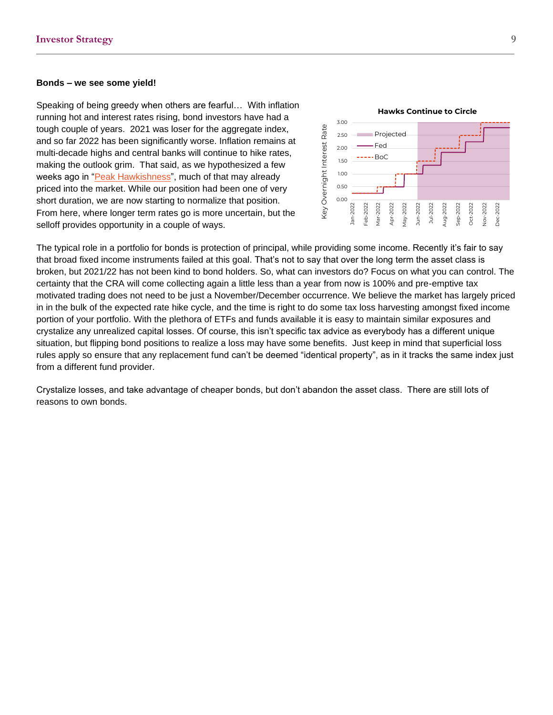#### **Bonds – we see some yield!**

Speaking of being greedy when others are fearful… With inflation running hot and interest rates rising, bond investors have had a tough couple of years. 2021 was loser for the aggregate index, and so far 2022 has been significantly worse. Inflation remains at multi-decade highs and central banks will continue to hike rates, making the outlook grim. That said, as we hypothesized a few weeks ago in ["Peak Hawkishness"](https://www.richardsonwealth.com/docs/default-source/market-ethos/market-ethos---11-april-2022---peak-hawkishness.pdf), much of that may already priced into the market. While our position had been one of very short duration, we are now starting to normalize that position. From here, where longer term rates go is more uncertain, but the selloff provides opportunity in a couple of ways.



The typical role in a portfolio for bonds is protection of principal, while providing some income. Recently it's fair to say that broad fixed income instruments failed at this goal. That's not to say that over the long term the asset class is broken, but 2021/22 has not been kind to bond holders. So, what can investors do? Focus on what you can control. The certainty that the CRA will come collecting again a little less than a year from now is 100% and pre-emptive tax motivated trading does not need to be just a November/December occurrence. We believe the market has largely priced in in the bulk of the expected rate hike cycle, and the time is right to do some tax loss harvesting amongst fixed income portion of your portfolio. With the plethora of ETFs and funds available it is easy to maintain similar exposures and crystalize any unrealized capital losses. Of course, this isn't specific tax advice as everybody has a different unique situation, but flipping bond positions to realize a loss may have some benefits. Just keep in mind that superficial loss rules apply so ensure that any replacement fund can't be deemed "identical property", as in it tracks the same index just from a different fund provider.

Crystalize losses, and take advantage of cheaper bonds, but don't abandon the asset class. There are still lots of reasons to own bonds.